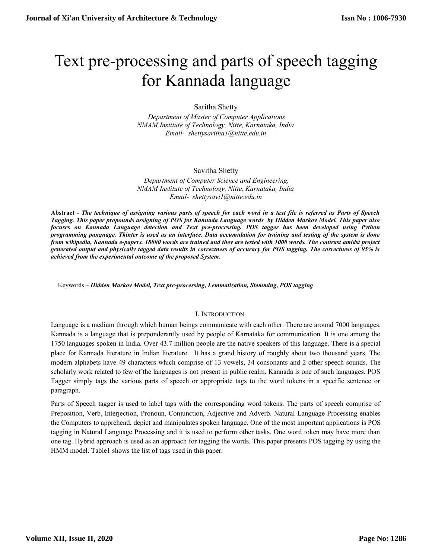# Text pre-processing and parts of speech tagging for Kannada language

Saritha Shetty

 *Department of Master of Computer Applications NMAM Institute of Technology, Nitte, Karnataka, India [Email- shettysaritha1@nitte.edu.in](mailto:Email-%20%20shettysaritha1@nitte.edu.in%20)*

#### Savitha Shetty

 *Department of Computer Science and Engineering, NMAM Institute of Technology, Nitte, Karnataka, India [Email- shettysavi1@nitte.edu.in](mailto:Email-%20%20shettysavi1@nitte.edu.in%20)*

**Abstract -** *The technique of assigning various parts of speech for each word in a text file is referred as Parts of Speech Tagging. This paper propounds assigning of POS for Kannada Language words by Hidden Markov Model. This paper also focuses on Kannada Language detection and Text pre-processing. POS tagger has been developed using Python programming panguage. Tkinter is used as an interface. Data accumulation for training and testing of the system is done from wikipedia, Kannada e-papers. 18000 words are trained and they are tested with 1000 words. The contrast amidst project generated output and physically tagged data results in correctness of accuracy for POS tagging. The correctness of 95% is achieved from the experimental outcome of the proposed System.* 

Keywords – *Hidden Markov Model, Text pre-processing, Lemmatization, Stemming, POS tagging*

#### I. INTRODUCTION

Language is a medium through which human beings communicate with each other. There are around 7000 languages. Kannada is a language that is preponderantly used by people of Karnataka for communication. It is one among the 1750 languages spoken in India. Over 43.7 million people are the native speakers of this language. There is a special place for Kannada literature in Indian literature. It has a grand history of roughly about two thousand years. The modern alphabets have 49 characters which comprise of 13 vowels, 34 consonants and 2 other speech sounds. The scholarly work related to few of the languages is not present in public realm. Kannada is one of such languages. POS Tagger simply tags the various parts of speech or appropriate tags to the word tokens in a specific sentence or paragraph.

Parts of Speech tagger is used to label tags with the corresponding word tokens. The parts of speech comprise of Preposition, Verb, Interjection, Pronoun, Conjunction, Adjective and Adverb. Natural Language Processing enables the Computers to apprehend, depict and manipulates spoken language. One of the most important applications is POS tagging in Natural Language Processing and it is used to perform other tasks. One word token may have more than one tag. Hybrid approach is used as an approach for tagging the words. This paper presents POS tagging by using the HMM model. Table1 shows the list of tags used in this paper.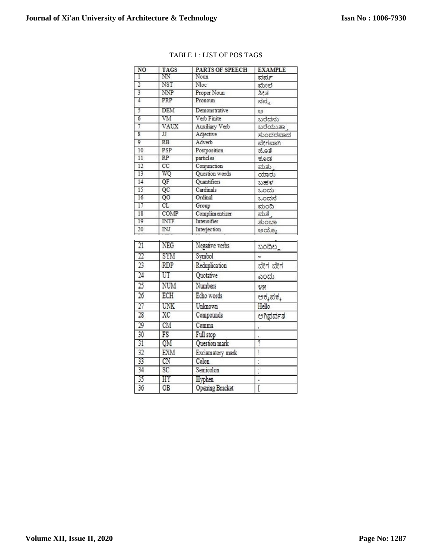$36$ 

 $\overline{OB}$ 

| NO                      | <b>TAGS</b>            | PARTS OF SPEECH  | <b>EXAMPLE</b> |
|-------------------------|------------------------|------------------|----------------|
| ī                       | NN                     | Noun             | ವರ್ಷ           |
| $\overline{2}$          | NST                    | Nloc             | ಮೇಲೆ           |
|                         | <b>NNP</b>             | Proper Noun      | 2e             |
| $\overline{4}$          | PRP                    | Pronoun          | ನನ್ನ           |
| 5                       | <b>DEM</b>             | Demonstrative    | ප              |
| $\overline{6}$          | VM                     | Verb Finite      | ಬರೆದನು         |
| 7                       | VAUX                   | Auxiliary Verb   | ಬರೆಯುತ್ತಾ      |
| $\overline{\mathbf{8}}$ | IJ                     | Adjective        | ಸುಂದರವಾದ       |
| $\overline{9}$          | $\overline{\text{RB}}$ | Adverb           | ವೇಗವಾಗಿ        |
| 10                      | PSP                    | Postposition     | ಜೊತೆ           |
| 11                      | RP                     | particles        | ಕೂಡ            |
| $\overline{12}$         | $\overline{cc}$        | Conjunction      | ಮತು            |
| 13                      | WQ                     | Question words   | chetto         |
| 14                      | QF                     | Quantifiers      | ಬಹಳ            |
| 15                      | QC                     | Cardinals        | ಒಂದು           |
| 16                      | QO                     | Ordinal          | ಒಂದನೆ          |
| 17                      | CL                     | Group            | ಮಂದಿ           |
| 18                      | COMP                   | Complimentizer   | ಮತ್ತೆ          |
| 19                      | <b>INTF</b>            | Intensifier      | ತುಂಬಾ          |
| 20                      | $\overline{\text{NJ}}$ | Interjection     | ಅಯ್ಯೂ          |
| $\overline{21}$         | NEG                    | Negative verbs   | ಬಂದಿಲ್ಲ        |
| $\overline{22}$         | SYM                    | Symbol           |                |
| 23                      | <b>RDP</b>             | Reduplication    | ಬೇಗ ಬೇಗ        |
| $\overline{24}$         | UT                     | Quotative        | ಎಂದು           |
| $\overline{25}$         | NUM                    | Numbers          | ೪೫             |
| 26                      | ECH                    | Echo words       | ಅಕ್ಕಪಕ್ಕ       |
| 27                      | <b>UNK</b>             | Unknown          | Hello          |
| 28                      | XC                     | Compounds        | ಅಗಿಫರ್ವತ       |
| 29                      | CM                     | Comma            |                |
| 30                      | FS                     | Full stop        |                |
| $\overline{31}$         | QM                     | Question mark    | $\overline{?}$ |
| 32                      | <b>EXM</b>             | Exclamatory mark | ļ              |
| 33                      | CN                     | Colon            |                |
| 34                      | SC                     | Semicolon        | ,              |
| $\overline{35}$         | HY                     | Hyphen           |                |

**Opening Bracket** 

### TABLE 1 : LIST OF POS TAGS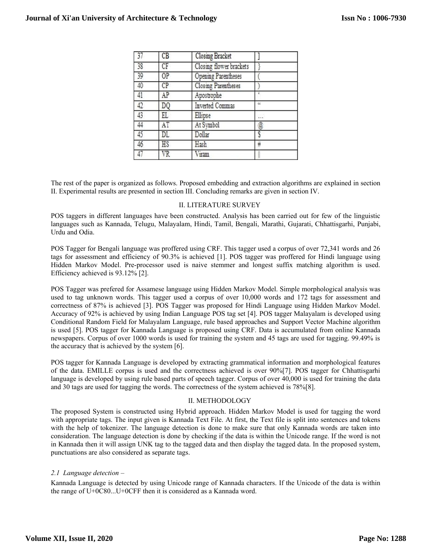|    | CB      | Closing Bracket         |          |
|----|---------|-------------------------|----------|
| 38 | CF      | Closing flower brackets |          |
| 39 | $_{OP}$ | Opening Parentheses     |          |
| 40 | CP      | Closing Parentheses     |          |
| 41 | AP      | Apostrophe              |          |
| 42 | DQ      | Inverted Commas         | $\alpha$ |
| 43 | EL      | Ellipse                 |          |
| 44 | AT      | At Symbol               | ø        |
| 45 | DL      | Dollar                  |          |
| 46 | HS      | Hash                    | ₩        |
| 47 | VR      | Viram                   |          |
|    |         |                         |          |

The rest of the paper is organized as follows. Proposed embedding and extraction algorithms are explained in section II. Experimental results are presented in section III. Concluding remarks are given in section IV.

#### II. LITERATURE SURVEY

POS taggers in different languages have been constructed. Analysis has been carried out for few of the linguistic languages such as Kannada, Telugu, Malayalam, Hindi, Tamil, Bengali, Marathi, Gujarati, Chhattisgarhi, Punjabi, Urdu and Odia.

POS Tagger for Bengali language was proffered using CRF. This tagger used a corpus of over 72,341 words and 26 tags for assessment and efficiency of 90.3% is achieved [1]. POS tagger was proffered for Hindi language using Hidden Markov Model. Pre-processor used is naive stemmer and longest suffix matching algorithm is used. Efficiency achieved is 93.12% [2].

POS Tagger was prefered for Assamese language using Hidden Markov Model. Simple morphological analysis was used to tag unknown words. This tagger used a corpus of over 10,000 words and 172 tags for assessment and correctness of 87% is achieved [3]. POS Tagger was proposed for Hindi Language using Hidden Markov Model. Accuracy of 92% is achieved by using Indian Language POS tag set [4]. POS tagger Malayalam is developed using Conditional Random Field for Malayalam Language, rule based approaches and Support Vector Machine algorithm is used [5]. POS tagger for Kannada Language is proposed using CRF. Data is accumulated from online Kannada newspapers. Corpus of over 1000 words is used for training the system and 45 tags are used for tagging. 99.49% is the accuracy that is achieved by the system [6].

POS tagger for Kannada Language is developed by extracting grammatical information and morphological features of the data. EMILLE corpus is used and the correctness achieved is over 90%[7]. POS tagger for Chhattisgarhi language is developed by using rule based parts of speech tagger. Corpus of over 40,000 is used for training the data and 30 tags are used for tagging the words. The correctness of the system achieved is 78%[8].

#### II. METHODOLOGY

The proposed System is constructed using Hybrid approach. Hidden Markov Model is used for tagging the word with appropriate tags. The input given is Kannada Text File. At first, the Text file is split into sentences and tokens with the help of tokenizer. The language detection is done to make sure that only Kannada words are taken into consideration. The language detection is done by checking if the data is within the Unicode range. If the word is not in Kannada then it will assign UNK tag to the tagged data and then display the tagged data. In the proposed system, punctuations are also considered as separate tags.

#### *2.1 Language detection –*

Kannada Language is detected by using Unicode range of Kannada characters. If the Unicode of the data is within the range of U+0C80...U+0CFF then it is considered as a Kannada word.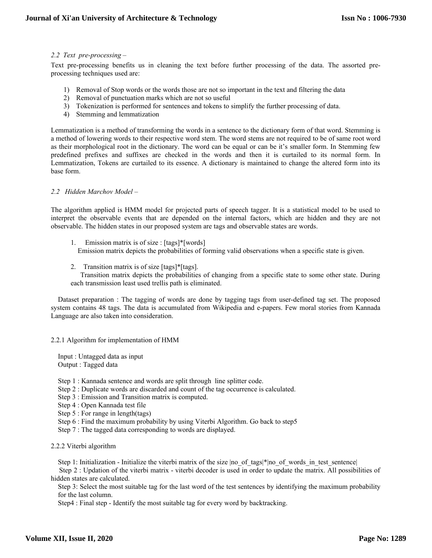#### *2.2 Text pre-processing –*

Text pre-processing benefits us in cleaning the text before further processing of the data. The assorted preprocessing techniques used are:

- 1) Removal of Stop words or the words those are not so important in the text and filtering the data
- 2) Removal of punctuation marks which are not so useful
- 3) Tokenization is performed for sentences and tokens to simplify the further processing of data.
- 4) Stemming and lemmatization

Lemmatization is a method of transforming the words in a sentence to the dictionary form of that word. Stemming is a method of lowering words to their respective word stem. The word stems are not required to be of same root word as their morphological root in the dictionary. The word can be equal or can be it's smaller form. In Stemming few predefined prefixes and suffixes are checked in the words and then it is curtailed to its normal form. In Lemmatization, Tokens are curtailed to its essence. A dictionary is maintained to change the altered form into its base form.

#### *2.2 Hidden Marchov Model –*

The algorithm applied is HMM model for projected parts of speech tagger. It is a statistical model to be used to interpret the observable events that are depended on the internal factors, which are hidden and they are not observable. The hidden states in our proposed system are tags and observable states are words.

- 1. Emission matrix is of size : [tags]\*[words] Emission matrix depicts the probabilities of forming valid observations when a specific state is given.
- 2. Transition matrix is of size [tags]\*[tags]. Transition matrix depicts the probabilities of changing from a specific state to some other state. During each transmission least used trellis path is eliminated.

Dataset preparation : The tagging of words are done by tagging tags from user-defined tag set. The proposed system contains 48 tags. The data is accumulated from Wikipedia and e-papers. Few moral stories from Kannada Language are also taken into consideration.

2.2.1 Algorithm for implementation of HMM

Input : Untagged data as input Output : Tagged data

- Step 1 : Kannada sentence and words are split through line splitter code.
- Step 2 : Duplicate words are discarded and count of the tag occurrence is calculated.
- Step 3 : Emission and Transition matrix is computed.
- Step 4 : Open Kannada test file
- Step 5 : For range in length(tags)
- Step 6 : Find the maximum probability by using Viterbi Algorithm. Go back to step5
- Step 7 : The tagged data corresponding to words are displayed.

2.2.2 Viterbi algorithm

Step 1: Initialization - Initialize the viterbi matrix of the size |no\_of\_tags|\*|no\_of\_words\_in\_test\_sentence|

 Step 2 : Updation of the viterbi matrix - viterbi decoder is used in order to update the matrix. All possibilities of hidden states are calculated.

Step 3: Select the most suitable tag for the last word of the test sentences by identifying the maximum probability for the last column.

Step4 : Final step - Identify the most suitable tag for every word by backtracking.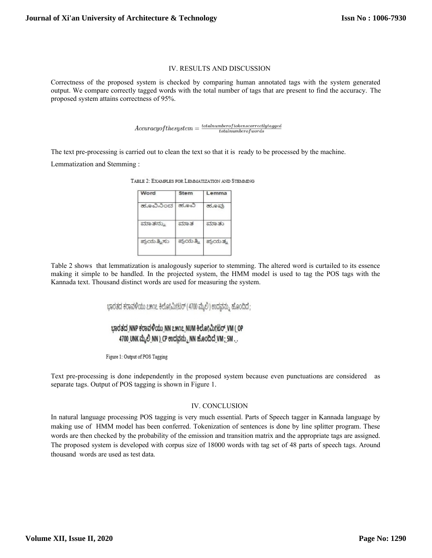#### IV. RESULTS AND DISCUSSION

Correctness of the proposed system is checked by comparing human annotated tags with the system generated output. We compare correctly tagged words with the total number of tags that are present to find the accuracy. The proposed system attains correctness of 95%.

 $Accuracy of the system = \frac{total number of tokens correctly tagged}{total number of words}$ 

The text pre-processing is carried out to clean the text so that it is ready to be processed by the machine. Lemmatization and Stemming :

| Word       | <b>Stem</b> | Lemma   |
|------------|-------------|---------|
| ಹೂವಿನಿಂದ   | ಹೂವಿ        | ಹೂವು    |
| ಮಾತನ್ನು    | ಮಾತ         | ಮಾತು    |
| ಪ್ರಯತ್ನಿಸು | ಪ್ರಯತ್ನಿ    | ಪ್ರಯತ್ನ |

TABLE 2: EXAMPLES FOR LEMMATIZATION AND STEMMING

Table 2 shows that lemmatization is analogously superior to stemming. The altered word is curtailed to its essence making it simple to be handled. In the projected system, the HMM model is used to tag the POS tags with the Kannada text. Thousand distinct words are used for measuring the system.

ಭಾರತದ ಕರಾವಳಿಯು ೭೫೧೭ ಕಿಲೋಮೀಟರ್ (4700 ಮೈಲಿ) ಉದ್ದವನ್ನು ಹೊಂದಿದೆ;

## ಭಾರತದ NNP ಕರಾವಳಿಯು NN ೭೫೧೭ NUM ಕಿಲೋಮೀಟರ್ VM (OP 4700 UNK ಮೈಲಿ NN ) CP ಉದ್ದವನ್ನು NN ಹೊಂದಿದೆ VM; SM..

Figure 1: Output of POS Tagging

Text pre-processing is done independently in the proposed system because even punctuations are considered as separate tags. Output of POS tagging is shown in Figure 1.

#### IV. CONCLUSION

In natural language processing POS tagging is very much essential. Parts of Speech tagger in Kannada language by making use of HMM model has been conferred. Tokenization of sentences is done by line splitter program. These words are then checked by the probability of the emission and transition matrix and the appropriate tags are assigned. The proposed system is developed with corpus size of 18000 words with tag set of 48 parts of speech tags. Around thousand words are used as test data.